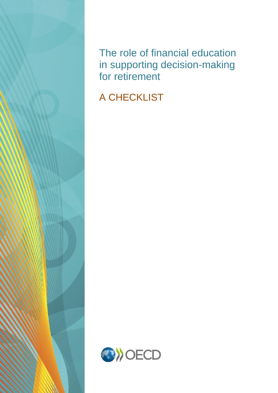The role of financial education in supporting decision-making for retirement

A CHECKLIST

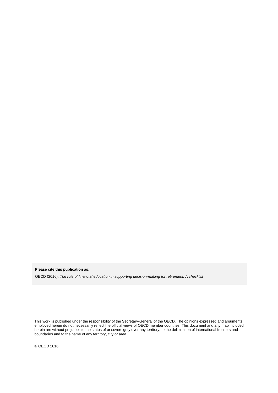**Please cite this publication as:**

OECD (2016), *The role of financial education in supporting decision-making for retirement: A checklist* 

This work is published under the responsibility of the Secretary-General of the OECD. The opinions expressed and arguments employed herein do not necessarily reflect the official views of OECD member countries. This document and any map included herein are without prejudice to the status of or sovereignty over any territory, to the delimitation of international frontiers and boundaries and to the name of any territory, city or area.

© OECD 2016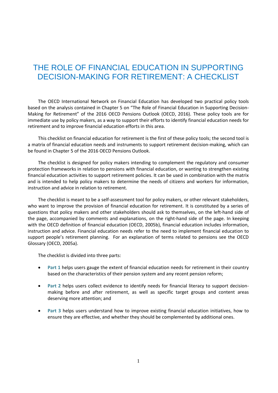## THE ROLE OF FINANCIAL EDUCATION IN SUPPORTING DECISION-MAKING FOR RETIREMENT: A CHECKLIST

The OECD International Network on Financial Education has developed two practical policy tools based on the analysis contained in Chapter 5 on "The Role of Financial Education in Supporting Decision-Making for Retirement" of the 2016 OECD Pensions Outlook (OECD, 2016). These policy tools are for immediate use by policy makers, as a way to support their efforts to identify financial education needs for retirement and to improve financial education efforts in this area.

This checklist on financial education for retirement is the first of these policy tools; the second tool is a matrix of financial education needs and instruments to support retirement decision-making, which can be found in Chapter 5 of the 2016 OECD Pensions Outlook.

The checklist is designed for policy makers intending to complement the regulatory and consumer protection frameworks in relation to pensions with financial education, or wanting to strengthen existing financial education activities to support retirement policies. It can be used in combination with the matrix and is intended to help policy makers to determine the needs of citizens and workers for information, instruction and advice in relation to retirement.

The checklist is meant to be a self-assessment tool for policy makers, or other relevant stakeholders, who want to improve the provision of financial education for retirement. It is constituted by a series of questions that policy makers and other stakeholders should ask to themselves, on the left-hand side of the page, accompanied by comments and explanations, on the right-hand side of the page. In keeping with the OECD definition of financial education (OECD, 2005b), financial education includes information, instruction and advice. Financial education needs refer to the need to implement financial education to support people's retirement planning. For an explanation of terms related to pensions see the OECD Glossary (OECD, 2005a).

The checklist is divided into three parts:

- **Part 1** helps users gauge the extent of financial education needs for retirement in their country based on the characteristics of their pension system and any recent pension reform;
- **Part 2** helps users collect evidence to identify needs for financial literacy to support decisionmaking before and after retirement, as well as specific target groups and content areas deserving more attention; and
- **Part 3** helps users understand how to improve existing financial education initiatives, how to ensure they are effective, and whether they should be complemented by additional ones.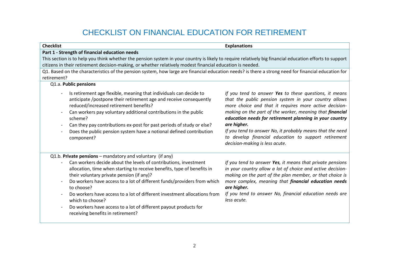## CHECKLIST ON FINANCIAL EDUCATION FOR RETIREMENT

| <b>Checklist</b>                                                                                                                                                                                                                                                                                                                                                                                                                                                                                                                                                                                                | <b>Explanations</b>                                                                                                                                                                                                                                                                                                                                                                                                                                                    |  |
|-----------------------------------------------------------------------------------------------------------------------------------------------------------------------------------------------------------------------------------------------------------------------------------------------------------------------------------------------------------------------------------------------------------------------------------------------------------------------------------------------------------------------------------------------------------------------------------------------------------------|------------------------------------------------------------------------------------------------------------------------------------------------------------------------------------------------------------------------------------------------------------------------------------------------------------------------------------------------------------------------------------------------------------------------------------------------------------------------|--|
| Part 1 - Strength of financial education needs                                                                                                                                                                                                                                                                                                                                                                                                                                                                                                                                                                  |                                                                                                                                                                                                                                                                                                                                                                                                                                                                        |  |
| This section is to help you think whether the pension system in your country is likely to require relatively big financial education efforts to support                                                                                                                                                                                                                                                                                                                                                                                                                                                         |                                                                                                                                                                                                                                                                                                                                                                                                                                                                        |  |
| citizens in their retirement decision-making, or whether relatively modest financial education is needed.                                                                                                                                                                                                                                                                                                                                                                                                                                                                                                       |                                                                                                                                                                                                                                                                                                                                                                                                                                                                        |  |
| Q1. Based on the characteristics of the pension system, how large are financial education needs? is there a strong need for financial education for                                                                                                                                                                                                                                                                                                                                                                                                                                                             |                                                                                                                                                                                                                                                                                                                                                                                                                                                                        |  |
| retirement?                                                                                                                                                                                                                                                                                                                                                                                                                                                                                                                                                                                                     |                                                                                                                                                                                                                                                                                                                                                                                                                                                                        |  |
| Q1.a. Public pensions                                                                                                                                                                                                                                                                                                                                                                                                                                                                                                                                                                                           |                                                                                                                                                                                                                                                                                                                                                                                                                                                                        |  |
| Is retirement age flexible, meaning that individuals can decide to<br>anticipate /postpone their retirement age and receive consequently<br>reduced/increased retirement benefits?<br>Can workers pay voluntary additional contributions in the public<br>$\overline{\phantom{a}}$<br>scheme?<br>Can they pay contributions ex-post for past periods of study or else?<br>$\overline{\phantom{a}}$<br>Does the public pension system have a notional defined contribution<br>$\overline{\phantom{a}}$<br>component?                                                                                             | If you tend to answer Yes to these questions, it means<br>that the public pension system in your country allows<br>more choice and that it requires more active decision-<br>making on the part of the worker, meaning that financial<br>education needs for retirement planning in your country<br>are higher.<br>If you tend to answer No, it probably means that the need<br>to develop financial education to support retirement<br>decision-making is less acute. |  |
| Q1.b. Private pensions - mandatory and voluntary (if any)<br>Can workers decide about the levels of contributions, investment<br>allocation, time when starting to receive benefits, type of benefits in<br>their voluntary private pension (if any)?<br>Do workers have access to a lot of different funds/providers from which<br>$\overline{\phantom{a}}$<br>to choose?<br>Do workers have access to a lot of different investment allocations from<br>which to choose?<br>Do workers have access to a lot of different payout products for<br>$\overline{\phantom{a}}$<br>receiving benefits in retirement? | If you tend to answer Yes, it means that private pensions<br>in your country allow a lot of choice and active decision-<br>making on the part of the plan member, or that choice is<br>more complex, meaning that financial education needs<br>are higher.<br>If you tend to answer No, financial education needs are<br>less acute.                                                                                                                                   |  |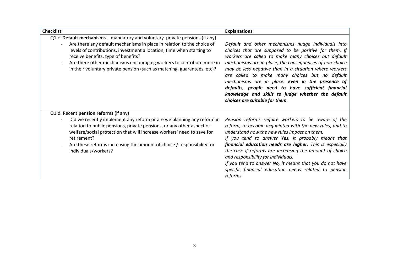| <b>Checklist</b>                                                                                                                                                                                                                                                                                                                          | <b>Explanations</b>                                                                                                                                                                                                                                                                                                                                                                                                                                                                                                                         |
|-------------------------------------------------------------------------------------------------------------------------------------------------------------------------------------------------------------------------------------------------------------------------------------------------------------------------------------------|---------------------------------------------------------------------------------------------------------------------------------------------------------------------------------------------------------------------------------------------------------------------------------------------------------------------------------------------------------------------------------------------------------------------------------------------------------------------------------------------------------------------------------------------|
| Q1.c. Default mechanisms - mandatory and voluntary private pensions (if any)                                                                                                                                                                                                                                                              |                                                                                                                                                                                                                                                                                                                                                                                                                                                                                                                                             |
| Are there any default mechanisms in place in relation to the choice of<br>levels of contributions, investment allocation, time when starting to<br>receive benefits, type of benefits?<br>Are there other mechanisms encouraging workers to contribute more in<br>in their voluntary private pension (such as matching, guarantees, etc)? | Default and other mechanisms nudge individuals into<br>choices that are supposed to be positive for them. If<br>workers are called to make many choices but default<br>mechanisms are in place, the consequences of non-choice<br>may be less negative than in a situation where workers<br>are called to make many choices but no default<br>mechanisms are in place. Even in the presence of<br>defaults, people need to have sufficient financial<br>knowledge and skills to judge whether the default<br>choices are suitable for them. |
| Q1.d. Recent pension reforms (if any)                                                                                                                                                                                                                                                                                                     |                                                                                                                                                                                                                                                                                                                                                                                                                                                                                                                                             |
| Did we recently implement any reform or are we planning any reform in<br>relation to public pensions, private pensions, or any other aspect of<br>welfare/social protection that will increase workers' need to save for<br>retirement?<br>Are these reforms increasing the amount of choice / responsibility for<br>individuals/workers? | Pension reforms require workers to be aware of the<br>reform, to become acquainted with the new rules, and to<br>understand how the new rules impact on them.<br>If you tend to answer Yes, it probably means that<br>financial education needs are higher. This is especially<br>the case if reforms are increasing the amount of choice<br>and responsibility for individuals.<br>If you tend to answer No, it means that you do not have<br>specific financial education needs related to pension<br>reforms.                            |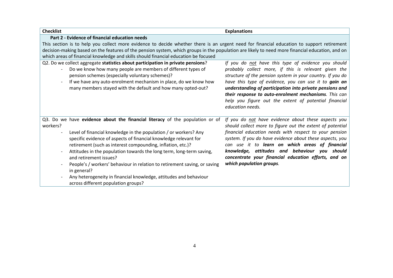| <b>Checklist</b>                                                                                                                                | <b>Explanations</b>                                                       |  |
|-------------------------------------------------------------------------------------------------------------------------------------------------|---------------------------------------------------------------------------|--|
| Part 2 - Evidence of financial education needs                                                                                                  |                                                                           |  |
| This section is to help you collect more evidence to decide whether there is an urgent need for financial education to support retirement       |                                                                           |  |
| decision-making based on the features of the pension system, which groups in the population are likely to need more financial education, and on |                                                                           |  |
| which areas of financial knowledge and skills should financial education be focused                                                             |                                                                           |  |
| Q2. Do we collect aggregate statistics about participation in private pensions?                                                                 | If you do not have this type of evidence you should                       |  |
| Do we know how many people are members of different types of                                                                                    | probably collect more, if this is relevant given the                      |  |
| pension schemes (especially voluntary schemes)?                                                                                                 | structure of the pension system in your country. If you do                |  |
| If we have any auto-enrolment mechanism in place, do we know how                                                                                | have this type of evidence, you can use it to gain an                     |  |
| many members stayed with the default and how many opted-out?                                                                                    | understanding of participation into private pensions and                  |  |
|                                                                                                                                                 | their response to auto-enrolment mechanisms. This can                     |  |
|                                                                                                                                                 | help you figure out the extent of potential financial<br>education needs. |  |
|                                                                                                                                                 |                                                                           |  |
| Q3. Do we have evidence about the financial literacy of the population or of                                                                    | If you do not have evidence about these aspects you                       |  |
| workers?                                                                                                                                        | should collect more to figure out the extent of potential                 |  |
| Level of financial knowledge in the population / or workers? Any                                                                                | financial education needs with respect to your pension                    |  |
| specific evidence of aspects of financial knowledge relevant for                                                                                | system. If you do have evidence about these aspects, you                  |  |
| retirement (such as interest compounding, inflation, etc.)?                                                                                     | can use it to learn on which areas of financial                           |  |
| Attitudes in the population towards the long term, long-term saving,                                                                            | knowledge, attitudes and behaviour you<br>should                          |  |
| and retirement issues?                                                                                                                          | concentrate your financial education efforts, and on                      |  |
| People's / workers' behaviour in relation to retirement saving, or saving                                                                       | which population groups.                                                  |  |
| in general?                                                                                                                                     |                                                                           |  |
| Any heterogeneity in financial knowledge, attitudes and behaviour                                                                               |                                                                           |  |
| across different population groups?                                                                                                             |                                                                           |  |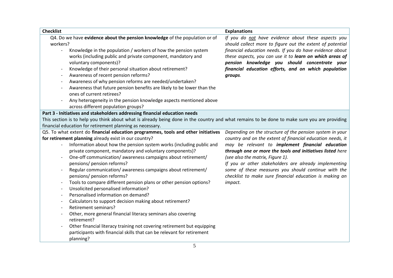| <b>Checklist</b>         |                                                                                                                                                           | <b>Explanations</b>                                                                                                                                                   |
|--------------------------|-----------------------------------------------------------------------------------------------------------------------------------------------------------|-----------------------------------------------------------------------------------------------------------------------------------------------------------------------|
| workers?                 | Q4. Do we have evidence about the pension knowledge of the population or of                                                                               | If you do not have evidence about these aspects you<br>should collect more to figure out the extent of potential                                                      |
|                          | Knowledge in the population / workers of how the pension system<br>works (including public and private component, mandatory and<br>voluntary components)? | financial education needs. If you do have evidence about<br>these aspects, you can use it to learn on which areas of<br>pension knowledge you should concentrate your |
|                          | Knowledge of their personal situation about retirement?                                                                                                   | financial education efforts, and on which population                                                                                                                  |
|                          | Awareness of recent pension reforms?                                                                                                                      | groups.                                                                                                                                                               |
| $\overline{\phantom{a}}$ | Awareness of why pension reforms are needed/undertaken?                                                                                                   |                                                                                                                                                                       |
|                          | Awareness that future pension benefits are likely to be lower than the                                                                                    |                                                                                                                                                                       |
|                          | ones of current retirees?                                                                                                                                 |                                                                                                                                                                       |
|                          | Any heterogeneity in the pension knowledge aspects mentioned above                                                                                        |                                                                                                                                                                       |
|                          | across different population groups?                                                                                                                       |                                                                                                                                                                       |
|                          | Part 3 - Initiatives and stakeholders addressing financial education needs                                                                                |                                                                                                                                                                       |
|                          | This section is to help you think about what is already being done in the country and what remains to be done to make sure you are providing              |                                                                                                                                                                       |
|                          | financial education for retirement planning as necessary.                                                                                                 |                                                                                                                                                                       |
|                          | Q5. To what extent do financial education programmes, tools and other initiatives                                                                         | Depending on the structure of the pension system in your                                                                                                              |
|                          | for retirement planning already exist in our country?                                                                                                     | country and on the extent of financial education needs, it                                                                                                            |
|                          | Information about how the pension system works (including public and                                                                                      | may be relevant to implement financial education                                                                                                                      |
|                          | private component, mandatory and voluntary components)?                                                                                                   | through one or more the tools and initiatives listed here                                                                                                             |
|                          | One-off communication/ awareness campaigns about retirement/                                                                                              | (see also the matrix, Figure 1).                                                                                                                                      |
|                          | pensions/ pension reforms?                                                                                                                                | If you or other stakeholders are already implementing                                                                                                                 |
|                          | Regular communication/ awareness campaigns about retirement/                                                                                              | some of these measures you should continue with the                                                                                                                   |
|                          | pensions/ pension reforms?                                                                                                                                | checklist to make sure financial education is making an                                                                                                               |
|                          | Tools to compare different pension plans or other pension options?                                                                                        | impact.                                                                                                                                                               |
| $\overline{\phantom{0}}$ | Unsolicited personalised information?                                                                                                                     |                                                                                                                                                                       |
| $\overline{\phantom{a}}$ | Personalised information on demand?                                                                                                                       |                                                                                                                                                                       |
| $\overline{\phantom{a}}$ | Calculators to support decision making about retirement?                                                                                                  |                                                                                                                                                                       |
| $\overline{\phantom{a}}$ | Retirement seminars?                                                                                                                                      |                                                                                                                                                                       |
| $\overline{\phantom{a}}$ | Other, more general financial literacy seminars also covering<br>retirement?                                                                              |                                                                                                                                                                       |
|                          | Other financial literacy training not covering retirement but equipping                                                                                   |                                                                                                                                                                       |
|                          | participants with financial skills that can be relevant for retirement<br>planning?                                                                       |                                                                                                                                                                       |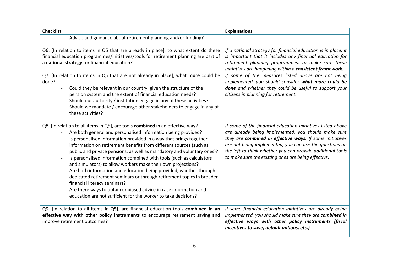| <b>Checklist</b>                                                                                                                                                                                                                                                                                                                                                                                                                                                                                                                                                                                                                                                                                                                                                                                                                                              | <b>Explanations</b>                                                                                                                                                                                                                                                                                                                                            |
|---------------------------------------------------------------------------------------------------------------------------------------------------------------------------------------------------------------------------------------------------------------------------------------------------------------------------------------------------------------------------------------------------------------------------------------------------------------------------------------------------------------------------------------------------------------------------------------------------------------------------------------------------------------------------------------------------------------------------------------------------------------------------------------------------------------------------------------------------------------|----------------------------------------------------------------------------------------------------------------------------------------------------------------------------------------------------------------------------------------------------------------------------------------------------------------------------------------------------------------|
| Advice and guidance about retirement planning and/or funding?                                                                                                                                                                                                                                                                                                                                                                                                                                                                                                                                                                                                                                                                                                                                                                                                 |                                                                                                                                                                                                                                                                                                                                                                |
| Q6. [In relation to items in Q5 that are already in place], to what extent do these<br>financial education programmes/initiatives/tools for retirement planning are part of<br>a national strategy for financial education?                                                                                                                                                                                                                                                                                                                                                                                                                                                                                                                                                                                                                                   | If a national strategy for financial education is in place, it<br>is important that it includes any financial education for<br>retirement planning programmes, to make sure these<br>initiatives are happening within a consistent framework.                                                                                                                  |
| Q7. [In relation to items in Q5 that are not already in place], what more could be<br>done?<br>Could they be relevant in our country, given the structure of the<br>$\overline{\phantom{a}}$<br>pension system and the extent of financial education needs?<br>Should our authority / institution engage in any of these activities?<br>$\overline{\phantom{a}}$<br>Should we mandate / encourage other stakeholders to engage in any of<br>these activities?                                                                                                                                                                                                                                                                                                                                                                                                 | If some of the measures listed above are not being<br>implemented, you should consider what more could be<br>done and whether they could be useful to support your<br>citizens in planning for retirement.                                                                                                                                                     |
| Q8. [In relation to all items in Q5], are tools combined in an effective way?<br>Are both general and personalised information being provided?<br>Is personalised information provided in a way that brings together<br>information on retirement benefits from different sources (such as<br>public and private pensions, as well as mandatory and voluntary ones)?<br>Is personalised information combined with tools (such as calculators<br>and simulators) to allow workers make their own projections?<br>Are both information and education being provided, whether through<br>$\overline{\phantom{a}}$<br>dedicated retirement seminars or through retirement topics in broader<br>financial literacy seminars?<br>Are there ways to obtain unbiased advice in case information and<br>education are not sufficient for the worker to take decisions? | If some of the financial education initiatives listed above<br>are already being implemented, you should make sure<br>they are combined in effective ways. If some initiatives<br>are not being implemented, you can use the questions on<br>the left to think whether you can provide additional tools<br>to make sure the existing ones are being effective. |
| Q9. [In relation to all items in Q5], are financial education tools combined in an<br>effective way with other policy instruments to encourage retirement saving and<br>improve retirement outcomes?                                                                                                                                                                                                                                                                                                                                                                                                                                                                                                                                                                                                                                                          | If some financial education initiatives are already being<br>implemented, you should make sure they are combined in<br>effective ways with other policy instruments (fiscal<br>incentives to save, default options, etc.).                                                                                                                                     |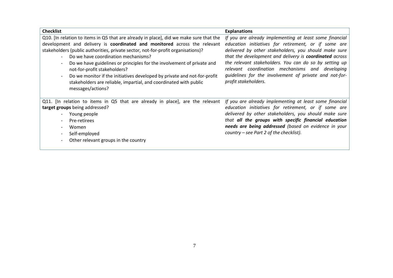| <b>Checklist</b>                                                                                                                                                                                                                                                                                                                                              | <b>Explanations</b>                                                                                                                                                                                                                                                                                                                  |
|---------------------------------------------------------------------------------------------------------------------------------------------------------------------------------------------------------------------------------------------------------------------------------------------------------------------------------------------------------------|--------------------------------------------------------------------------------------------------------------------------------------------------------------------------------------------------------------------------------------------------------------------------------------------------------------------------------------|
| Q10. [In relation to items in Q5 that are already in place], did we make sure that the<br>development and delivery is coordinated and monitored across the relevant<br>stakeholders (public authorities, private sector, not-for-profit organisations)?<br>Do we have coordination mechanisms?<br>$\overline{\phantom{0}}$                                    | If you are already implementing at least some financial<br>education initiatives for retirement, or if some are<br>delivered by other stakeholders, you should make sure<br>that the development and delivery is <b>coordinated</b> across                                                                                           |
| Do we have guidelines or principles for the involvement of private and<br>$\overline{\phantom{a}}$<br>not-for-profit stakeholders?<br>Do we monitor if the initiatives developed by private and not-for-profit<br>$\overline{\phantom{a}}$<br>stakeholders are reliable, impartial, and coordinated with public<br>messages/actions?                          | the relevant stakeholders. You can do so by setting up<br>relevant coordination mechanisms and developing<br>guidelines for the involvement of private and not-for-<br>profit stakeholders.                                                                                                                                          |
| Q11. [In relation to items in Q5 that are already in place], are the relevant<br>target groups being addressed?<br>Young people<br>$\overline{\phantom{a}}$<br>Pre-retirees<br>$\overline{\phantom{a}}$<br>Women<br>$\overline{\phantom{a}}$<br>Self-employed<br>$\overline{\phantom{a}}$<br>Other relevant groups in the country<br>$\overline{\phantom{a}}$ | If you are already implementing at least some financial<br>education initiatives for retirement, or if some are<br>delivered by other stakeholders, you should make sure<br>that all the groups with specific financial education<br>needs are being addressed (based on evidence in your<br>country – see Part 2 of the checklist). |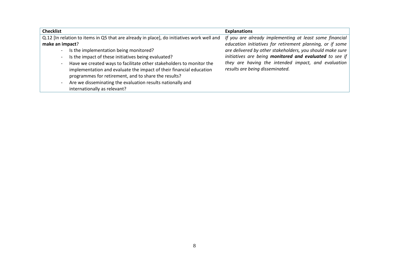| <b>Checklist</b>                                                                                                                                                                                                                                                                                                                                                                                                                                                                                                                                                                                                                       | <b>Explanations</b>                                                                                                                                                                                                                                                                                                                    |
|----------------------------------------------------------------------------------------------------------------------------------------------------------------------------------------------------------------------------------------------------------------------------------------------------------------------------------------------------------------------------------------------------------------------------------------------------------------------------------------------------------------------------------------------------------------------------------------------------------------------------------------|----------------------------------------------------------------------------------------------------------------------------------------------------------------------------------------------------------------------------------------------------------------------------------------------------------------------------------------|
| Q.12 [In relation to items in Q5 that are already in place], do initiatives work well and<br>make an impact?<br>Is the implementation being monitored?<br>$\overline{\phantom{a}}$<br>Is the impact of these initiatives being evaluated?<br>$\overline{\phantom{a}}$<br>Have we created ways to facilitate other stakeholders to monitor the<br>$\qquad \qquad \blacksquare$<br>implementation and evaluate the impact of their financial education<br>programmes for retirement, and to share the results?<br>Are we disseminating the evaluation results nationally and<br>$\overline{\phantom{a}}$<br>internationally as relevant? | If you are already implementing at least some financial<br>education initiatives for retirement planning, or if some<br>are delivered by other stakeholders, you should make sure<br>initiatives are being monitored and evaluated to see if<br>they are having the intended impact, and evaluation<br>results are being disseminated. |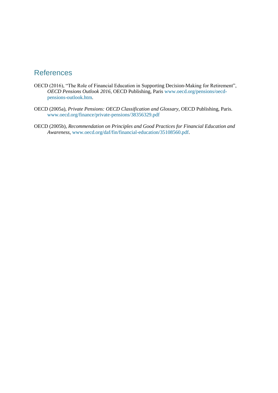## References

- OECD (2016), "The Role of Financial Education in Supporting Decision-Making for Retirement", *OECD Pensions Outlook 2016*, OECD Publishing, Paris [www.oecd.org/pensions/oecd](http://www.oecd.org/pensions/oecd-pensions-outlook.htm)[pensions-outlook.htm.](http://www.oecd.org/pensions/oecd-pensions-outlook.htm)
- OECD (2005a), *Private Pensions: OECD Classification and Glossary*, OECD Publishing, Paris. [www.oecd.org/finance/private-pensions/38356329.pdf](http://www.oecd.org/finance/private-pensions/38356329.pdf)
- OECD (2005b), *Recommendation on Principles and Good Practices for Financial Education and Awareness*, [www.oecd.org/daf/fin/financial-education/35108560.pdf.](http://www.oecd.org/daf/fin/financial-education/35108560.pdf)